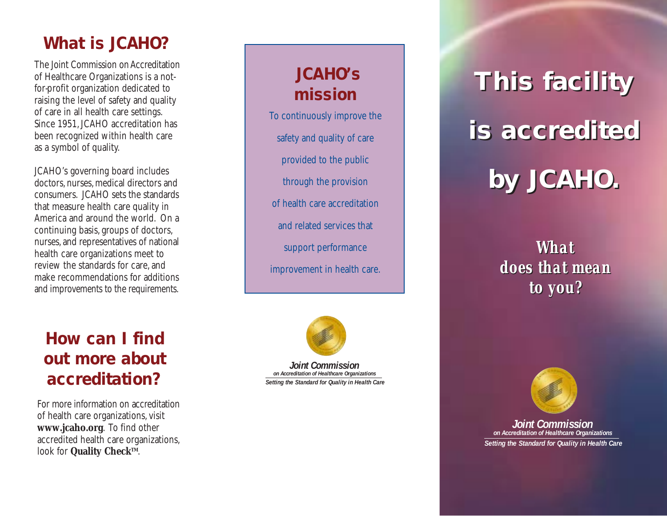### **What is JCAHO?**

The Joint Commission on Accreditation of Healthcare Organizations is a not for-profit organization dedicated to raising the level of safety and quality of care in all health care settings. Since 1951, JCAHO accreditation has been recognized within health care as a symbol of quality.

JCAHO's governing board includes doctors, nurses, medical directors and consumers. JCAHO sets the standards that measure health care quality in America and around the world. On a continuing basis, groups of doctors, nurses, and representatives of national health care organizations meet to review the standards for care, and make recommendations for additions and improvements to the requirements.

### **How can I find out more about accreditation?**

For more information on accreditation of health care organizations, visit **www.jcaho.org**. To find other accredited health care organizations, look for **Quality Check™**.

### **JCAHO's mission**

To continuously improve the safety and quality of care provided to the public through the provision of health care accreditation and related services that support performance improvement in health care.



*Joint Commission on Accreditation of Healthcare Organizations Setting the Standard for Quality in Health Care*

# **This facility This facility is accredited is accredited by JCAHO. by JCAHO.**

*What What does that mean does that mean to you? to you?*



*Joint Commission on Accreditation of Healthcare Organizations Setting the Standard for Quality in Health Care*